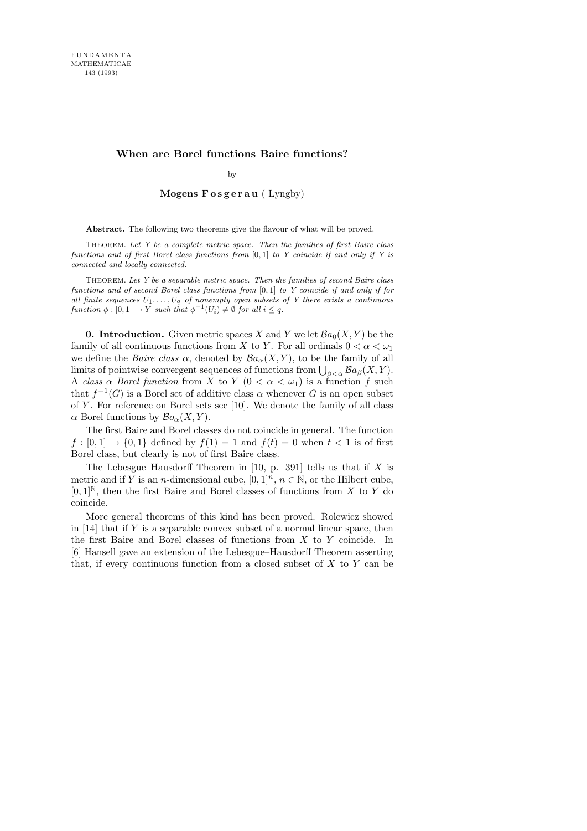# **When are Borel functions Baire functions?**

by

## Mogens  $F$  osgerau (Lyngby)

Abstract. The following two theorems give the flavour of what will be proved.

THEOREM. *Let Y be a complete metric space. Then the families of first Baire class functions and of first Borel class functions from* [0*,* 1] *to Y coincide if and only if Y is connected and locally connected.*

THEOREM. *Let Y be a separable metric space. Then the families of second Baire class functions and of second Borel class functions from* [0*,* 1] *to Y coincide if and only if for all finite sequences*  $U_1, \ldots, U_q$  *of nonempty open subsets of Y there exists a continuous function*  $\phi : [0,1] \to Y$  *such that*  $\phi^{-1}(U_i) \neq \emptyset$  *for all*  $i \leq q$ *.* 

**0. Introduction.** Given metric spaces X and Y we let  $\mathcal{B}a_0(X, Y)$  be the family of all continuous functions from X to Y. For all ordinals  $0 < \alpha < \omega_1$ we define the *Baire class*  $\alpha$ , denoted by  $Ba_{\alpha}(X, Y)$ , to be the family of all limits of pointwise convergent sequences of functions from  $\bigcup_{\beta<\alpha} \mathcal{B}a_{\beta}(X, Y)$ . A class  $\alpha$  Borel function from X to Y  $(0 < \alpha < \omega_1)$  is a function f such that  $f^{-1}(G)$  is a Borel set of additive class  $\alpha$  whenever G is an open subset of Y. For reference on Borel sets see  $[10]$ . We denote the family of all class  $\alpha$  Borel functions by  $\mathcal{B}o_{\alpha}(X, Y)$ .

The first Baire and Borel classes do not coincide in general. The function  $f : [0,1] \rightarrow \{0,1\}$  defined by  $f(1) = 1$  and  $f(t) = 0$  when  $t < 1$  is of first Borel class, but clearly is not of first Baire class.

The Lebesgue–Hausdorff Theorem in [10, p. 391] tells us that if  $X$  is metric and if Y is an n-dimensional cube,  $[0, 1]^n$ ,  $n \in \mathbb{N}$ , or the Hilbert cube,  $[0,1]^{\mathbb{N}}$ , then the first Baire and Borel classes of functions from X to Y do coincide.

More general theorems of this kind has been proved. Rolewicz showed in  $[14]$  that if Y is a separable convex subset of a normal linear space, then the first Baire and Borel classes of functions from X to Y coincide. In [6] Hansell gave an extension of the Lebesgue–Hausdorff Theorem asserting that, if every continuous function from a closed subset of  $X$  to  $Y$  can be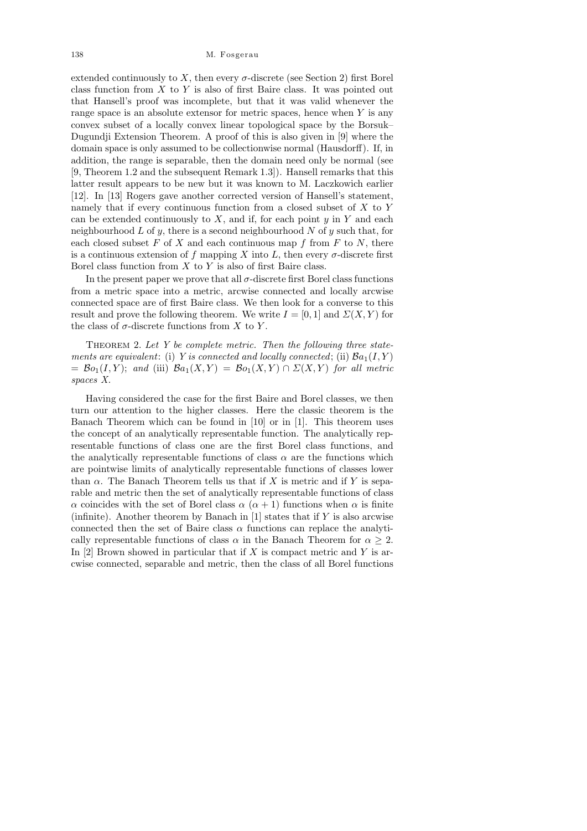extended continuously to X, then every  $\sigma$ -discrete (see Section 2) first Borel class function from  $X$  to  $Y$  is also of first Baire class. It was pointed out that Hansell's proof was incomplete, but that it was valid whenever the range space is an absolute extensor for metric spaces, hence when  $Y$  is any convex subset of a locally convex linear topological space by the Borsuk– Dugundji Extension Theorem. A proof of this is also given in [9] where the domain space is only assumed to be collectionwise normal (Hausdorff). If, in addition, the range is separable, then the domain need only be normal (see [9, Theorem 1.2 and the subsequent Remark 1.3]). Hansell remarks that this latter result appears to be new but it was known to M. Laczkowich earlier [12]. In [13] Rogers gave another corrected version of Hansell's statement, namely that if every continuous function from a closed subset of  $X$  to  $Y$ can be extended continuously to  $X$ , and if, for each point  $y$  in  $Y$  and each neighbourhood  $L$  of  $y$ , there is a second neighbourhood  $N$  of  $y$  such that, for each closed subset  $F$  of  $X$  and each continuous map  $f$  from  $F$  to  $N$ , there is a continuous extension of f mapping X into L, then every  $\sigma$ -discrete first Borel class function from  $X$  to  $Y$  is also of first Baire class.

In the present paper we prove that all  $\sigma$ -discrete first Borel class functions from a metric space into a metric, arcwise connected and locally arcwise connected space are of first Baire class. We then look for a converse to this result and prove the following theorem. We write  $I = [0, 1]$  and  $\Sigma(X, Y)$  for the class of  $\sigma$ -discrete functions from X to Y.

THEOREM 2. Let  $Y$  be complete metric. Then the following three statements are equivalent: (i) Y is connected and locally connected; (ii)  $Ba_1(I, Y)$  $= \mathcal{B}o_1(I, Y);$  and (iii)  $\mathcal{B}a_1(X, Y) = \mathcal{B}o_1(X, Y) \cap \Sigma(X, Y)$  for all metric spaces X.

Having considered the case for the first Baire and Borel classes, we then turn our attention to the higher classes. Here the classic theorem is the Banach Theorem which can be found in  $[10]$  or in  $[1]$ . This theorem uses the concept of an analytically representable function. The analytically representable functions of class one are the first Borel class functions, and the analytically representable functions of class  $\alpha$  are the functions which are pointwise limits of analytically representable functions of classes lower than  $\alpha$ . The Banach Theorem tells us that if X is metric and if Y is separable and metric then the set of analytically representable functions of class α coincides with the set of Borel class  $\alpha$  ( $\alpha + 1$ ) functions when  $\alpha$  is finite (infinite). Another theorem by Banach in  $[1]$  states that if Y is also arcwise connected then the set of Baire class  $\alpha$  functions can replace the analytically representable functions of class  $\alpha$  in the Banach Theorem for  $\alpha \geq 2$ . In  $[2]$  Brown showed in particular that if X is compact metric and Y is arcwise connected, separable and metric, then the class of all Borel functions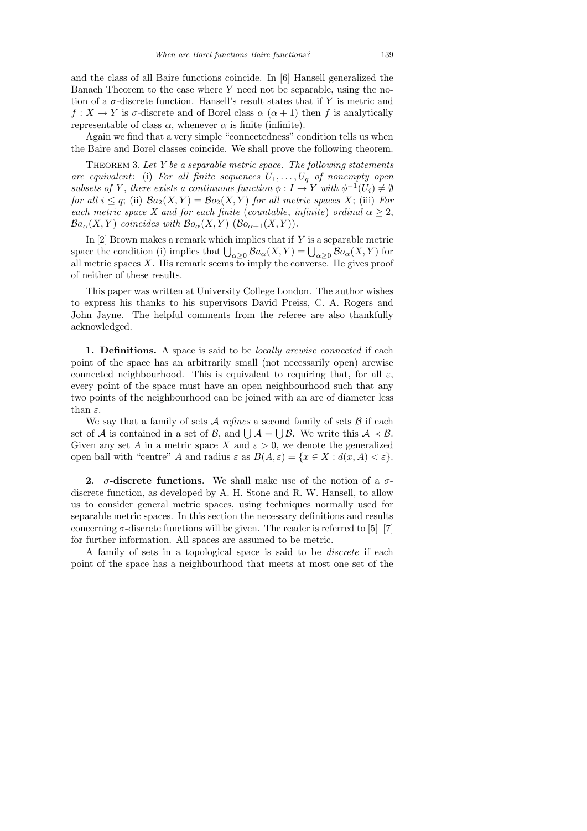Again we find that a very simple "connectedness" condition tells us when the Baire and Borel classes coincide. We shall prove the following theorem.

THEOREM 3. Let  $Y$  be a separable metric space. The following statements are equivalent: (i) For all finite sequences  $U_1, \ldots, U_q$  of nonempty open subsets of Y, there exists a continuous function  $\phi: I \to Y$  with  $\phi^{-1}(U_i) \neq \emptyset$ for all  $i \leq q$ ; (ii)  $Ba_2(X, Y) = Bo_2(X, Y)$  for all metric spaces X; (iii) For each metric space X and for each finite (countable, infinite) ordinal  $\alpha \geq 2$ ,  $\mathcal{B}a_{\alpha}(X,Y)$  coincides with  $\mathcal{B}o_{\alpha}(X,Y)$  ( $\mathcal{B}o_{\alpha+1}(X,Y)$ ).

In  $[2]$  Brown makes a remark which implies that if Y is a separable metric space the condition (i) implies that  $\bigcup_{\alpha\geq 0} \mathcal{B}a_{\alpha}(X,Y) = \bigcup_{\alpha\geq 0} \mathcal{B}o_{\alpha}(X,Y)$  for all metric spaces  $X$ . His remark seems to imply the converse. He gives proof of neither of these results.

This paper was written at University College London. The author wishes to express his thanks to his supervisors David Preiss, C. A. Rogers and John Jayne. The helpful comments from the referee are also thankfully acknowledged.

1. Definitions. A space is said to be *locally arcwise connected* if each point of the space has an arbitrarily small (not necessarily open) arcwise connected neighbourhood. This is equivalent to requiring that, for all  $\varepsilon$ , every point of the space must have an open neighbourhood such that any two points of the neighbourhood can be joined with an arc of diameter less than  $\varepsilon$ .

We say that a family of sets  $A$  refines a second family of sets  $B$  if each set of A is contained in a set of B, and  $\bigcup \mathcal{A} = \bigcup \mathcal{B}$ . We write this  $\mathcal{A} \prec \mathcal{B}$ . Given any set A in a metric space X and  $\varepsilon > 0$ , we denote the generalized open ball with "centre" A and radius  $\varepsilon$  as  $B(A, \varepsilon) = \{x \in X : d(x, A) < \varepsilon\}.$ 

2.  $\sigma$ -discrete functions. We shall make use of the notion of a  $\sigma$ discrete function, as developed by A. H. Stone and R. W. Hansell, to allow us to consider general metric spaces, using techniques normally used for separable metric spaces. In this section the necessary definitions and results concerning  $\sigma$ -discrete functions will be given. The reader is referred to [5]–[7] for further information. All spaces are assumed to be metric.

A family of sets in a topological space is said to be discrete if each point of the space has a neighbourhood that meets at most one set of the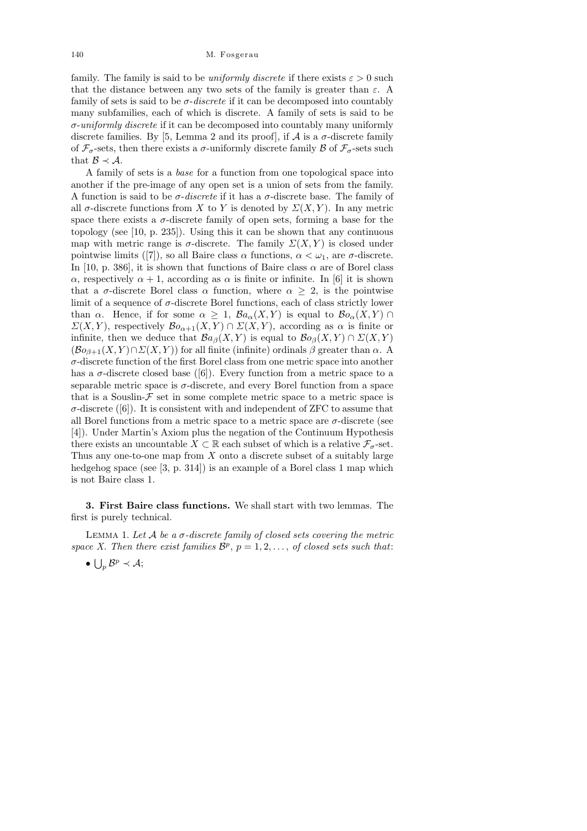family. The family is said to be *uniformly discrete* if there exists  $\varepsilon > 0$  such that the distance between any two sets of the family is greater than  $\varepsilon$ . A family of sets is said to be  $\sigma$ -discrete if it can be decomposed into countably many subfamilies, each of which is discrete. A family of sets is said to be σ-uniformly discrete if it can be decomposed into countably many uniformly discrete families. By [5, Lemma 2 and its proof], if  $A$  is a  $\sigma$ -discrete family of  $\mathcal{F}_{\sigma}$ -sets, then there exists a  $\sigma$ -uniformly discrete family  $\mathcal{B}$  of  $\mathcal{F}_{\sigma}$ -sets such that  $\mathcal{B} \prec \mathcal{A}$ .

A family of sets is a base for a function from one topological space into another if the pre-image of any open set is a union of sets from the family. A function is said to be  $\sigma$ -discrete if it has a  $\sigma$ -discrete base. The family of all  $\sigma$ -discrete functions from X to Y is denoted by  $\Sigma(X, Y)$ . In any metric space there exists a  $\sigma$ -discrete family of open sets, forming a base for the topology (see [10, p. 235]). Using this it can be shown that any continuous map with metric range is  $\sigma$ -discrete. The family  $\Sigma(X, Y)$  is closed under pointwise limits ([7]), so all Baire class  $\alpha$  functions,  $\alpha < \omega_1$ , are  $\sigma$ -discrete. In [10, p. 386], it is shown that functions of Baire class  $\alpha$  are of Borel class α, respectively  $\alpha + 1$ , according as  $\alpha$  is finite or infinite. In [6] it is shown that a  $\sigma$ -discrete Borel class  $\alpha$  function, where  $\alpha \geq 2$ , is the pointwise limit of a sequence of  $\sigma$ -discrete Borel functions, each of class strictly lower than  $\alpha$ . Hence, if for some  $\alpha \geq 1$ ,  $\mathcal{B}a_{\alpha}(X, Y)$  is equal to  $\mathcal{B}o_{\alpha}(X, Y) \cap$  $\Sigma(X, Y)$ , respectively  $\mathcal{B}o_{\alpha+1}(X, Y) \cap \Sigma(X, Y)$ , according as  $\alpha$  is finite or infinite, then we deduce that  $Ba_{\beta}(X, Y)$  is equal to  $Bo_{\beta}(X, Y) \cap \Sigma(X, Y)$  $(\mathcal{B}o_{\beta+1}(X, Y) \cap \Sigma(X, Y))$  for all finite (infinite) ordinals  $\beta$  greater than  $\alpha$ . A σ-discrete function of the first Borel class from one metric space into another has a  $\sigma$ -discrete closed base ([6]). Every function from a metric space to a separable metric space is  $\sigma$ -discrete, and every Borel function from a space that is a Souslin- $\mathcal F$  set in some complete metric space to a metric space is  $\sigma$ -discrete ([6]). It is consistent with and independent of ZFC to assume that all Borel functions from a metric space to a metric space are  $\sigma$ -discrete (see [4]). Under Martin's Axiom plus the negation of the Continuum Hypothesis there exists an uncountable  $X \subset \mathbb{R}$  each subset of which is a relative  $\mathcal{F}_{\sigma}$ -set. Thus any one-to-one map from  $X$  onto a discrete subset of a suitably large hedgehog space (see [3, p. 314]) is an example of a Borel class 1 map which is not Baire class 1.

3. First Baire class functions. We shall start with two lemmas. The first is purely technical.

LEMMA 1. Let  $A$  be a  $\sigma$ -discrete family of closed sets covering the metric space X. Then there exist families  $\mathcal{B}^p$ ,  $p = 1, 2, \ldots$ , of closed sets such that:

•  $\bigcup_{p} \mathcal{B}^p \prec \mathcal{A};$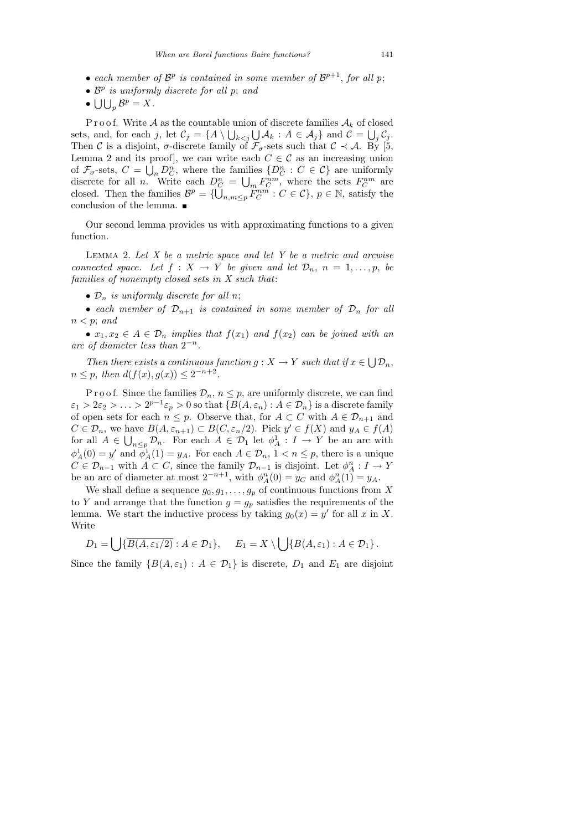- each member of  $\mathcal{B}^p$  is contained in some member of  $\mathcal{B}^{p+1}$ , for all p;
- $\mathcal{B}^p$  is uniformly discrete for all p; and
- $\bigcup \bigcup_p \mathcal{B}^p = X.$

P r o o f. Write A as the countable union of discrete families  $A_k$  of closed sets, and, for each j, let  $\mathcal{C}_j = \{ A \setminus \bigcup_{k < j} \bigcup \mathcal{A}_k : A \in \mathcal{A}_j \}$  and  $\mathcal{C} = \bigcup_j \mathcal{C}_j$ . Then C is a disjoint,  $\sigma$ -discrete family of  $\mathcal{F}_{\sigma}$ -sets such that  $\mathcal{C} \prec \mathcal{A}$ . By [5, Lemma 2 and its proof, we can write each  $C \in \mathcal{C}$  as an increasing union of  $\mathcal{F}_{\sigma}$ -sets,  $C = \bigcup_n D_C^n$ , where the families  $\{D_C^n : C \in \mathcal{C}\}\$ are uniformly discrete for all *n*. Write each  $D_C^n = \bigcup_m F_C^{nm}$ , where the sets  $F_C^{nm}$  are closed. Then the families  $\mathcal{B}^p = \{ \bigcup_{n,m \leq p} F_C^{nm} : C \in \mathcal{C} \}, p \in \mathbb{N}$ , satisfy the conclusion of the lemma.

Our second lemma provides us with approximating functions to a given function.

LEMMA 2. Let  $X$  be a metric space and let  $Y$  be a metric and arcwise connected space. Let  $f: X \to Y$  be given and let  $\mathcal{D}_n$ ,  $n = 1, \ldots, p$ , be families of nonempty closed sets in X such that:

•  $\mathcal{D}_n$  is uniformly discrete for all n;

• each member of  $\mathcal{D}_{n+1}$  is contained in some member of  $\mathcal{D}_n$  for all  $n < p$ ; and

•  $x_1, x_2 \in A \in \mathcal{D}_n$  implies that  $f(x_1)$  and  $f(x_2)$  can be joined with an arc of diameter less than  $2^{-n}$ .

Then there exists a continuous function  $g: X \to Y$  such that if  $x \in \bigcup \mathcal{D}_n$ ,  $n \leq p$ , then  $d(f(x), g(x)) \leq 2^{-n+2}$ .

P r o o f. Since the families  $\mathcal{D}_n$ ,  $n \leq p$ , are uniformly discrete, we can find  $\varepsilon_1 > 2\varepsilon_2 > \ldots > 2^{p-1}\varepsilon_p > 0$  so that  $\{B(A, \varepsilon_n) : A \in \mathcal{D}_n\}$  is a discrete family of open sets for each  $n \leq p$ . Observe that, for  $A \subset C$  with  $A \in \mathcal{D}_{n+1}$  and  $C \in \mathcal{D}_n$ , we have  $B(A, \varepsilon_{n+1}) \subset B(C, \varepsilon_n/2)$ . Pick  $y' \in f(X)$  and  $y_A \in f(A)$ for all  $A \in \bigcup_{n \leq p} \mathcal{D}_n$ . For each  $A \in \mathcal{D}_1$  let  $\phi_A^1 : I \to Y$  be an arc with  $\phi_A^1(0) = y'$  and  $\phi_A^1(1) = y_A$ . For each  $A \in \mathcal{D}_n$ ,  $1 < n \leq p$ , there is a unique  $C \in \mathcal{D}_{n-1}$  with  $A \subset C$ , since the family  $\mathcal{D}_{n-1}$  is disjoint. Let  $\phi_A^n : I \to Y$ be an arc of diameter at most  $2^{-n+1}$ , with  $\phi_A^n(0) = y_C$  and  $\phi_A^n(1) = y_A$ .

We shall define a sequence  $g_0, g_1, \ldots, g_p$  of continuous functions from X to Y and arrange that the function  $g = g_p$  satisfies the requirements of the lemma. We start the inductive process by taking  $g_0(x) = y'$  for all x in X. Write

$$
D_1 = \bigcup \{ \overline{B(A, \varepsilon_1/2)} : A \in \mathcal{D}_1 \}, \quad E_1 = X \setminus \bigcup \{ B(A, \varepsilon_1) : A \in \mathcal{D}_1 \}.
$$

Since the family  $\{B(A, \varepsilon_1) : A \in \mathcal{D}_1\}$  is discrete,  $D_1$  and  $E_1$  are disjoint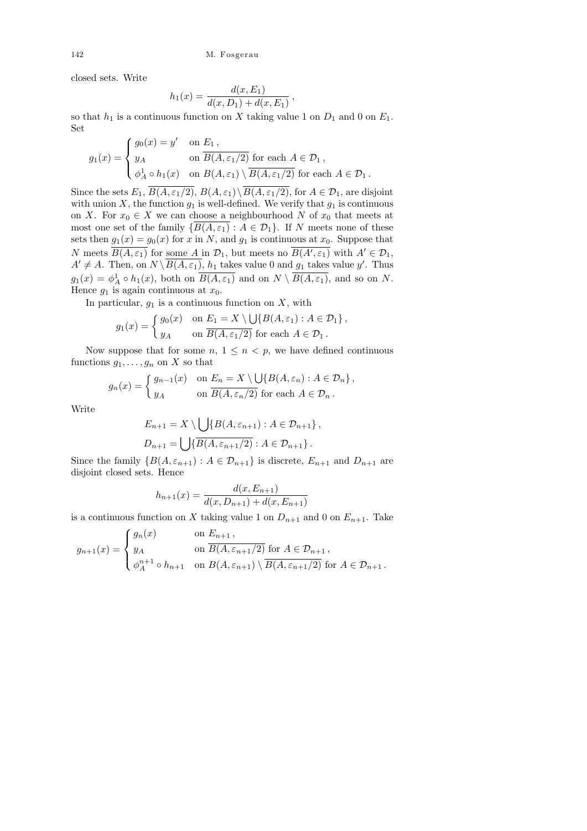closed sets. Write

$$
h_1(x) = \frac{d(x, E_1)}{d(x, D_1) + d(x, E_1)}
$$

,

so that  $h_1$  is a continuous function on X taking value 1 on  $D_1$  and 0 on  $E_1$ . Set

$$
g_1(x) = \begin{cases} g_0(x) = y' & \text{on } E_1, \\ y_A & \text{on } \overline{B(A, \varepsilon_1/2)} \text{ for each } A \in \mathcal{D}_1, \\ \phi_A^1 \circ h_1(x) & \text{on } B(A, \varepsilon_1) \setminus \overline{B(A, \varepsilon_1/2)} \text{ for each } A \in \mathcal{D}_1. \end{cases}
$$

Since the sets  $E_1$ ,  $\overline{B(A,\varepsilon_1/2)}$ ,  $B(A,\varepsilon_1)\setminus\overline{B(A,\varepsilon_1/2)}$ , for  $A\in\mathcal{D}_1$ , are disjoint with union X, the function  $g_1$  is well-defined. We verify that  $g_1$  is continuous on X. For  $x_0 \in X$  we can choose a neighbourhood N of  $x_0$  that meets at most one set of the family  $\{B(A, \varepsilon_1) : A \in \mathcal{D}_1\}$ . If N meets none of these sets then  $g_1(x) = g_0(x)$  for x in N, and  $g_1$  is continuous at  $x_0$ . Suppose that N meets  $\overline{B(A,\varepsilon_1)}$  for some A in  $\mathcal{D}_1$ , but meets no  $\overline{B(A',\varepsilon_1)}$  with  $A' \in \mathcal{D}_1$ ,  $A' \neq A$ . Then, on  $N \setminus \overline{B(A, \varepsilon_1)}$ ,  $h_1$  takes value 0 and  $g_1$  takes value y'. Thus  $g_1(x) = \phi_A^1 \circ h_1(x)$ , both on  $\overline{B(A, \varepsilon_1)}$  and on  $N \setminus \overline{B(A, \varepsilon_1)}$ , and so on N. Hence  $g_1$  is again continuous at  $x_0$ .

In particular,  $g_1$  is a continuous function on X, with

$$
g_1(x) = \begin{cases} g_0(x) & \text{on } E_1 = X \setminus \bigcup \{B(A, \varepsilon_1) : A \in \mathcal{D}_1\}, \\ y_A & \text{on } \overline{B(A, \varepsilon_1/2)} \text{ for each } A \in \mathcal{D}_1. \end{cases}
$$

Now suppose that for some  $n, 1 \leq n < p$ , we have defined continuous functions  $g_1, \ldots, g_n$  on X so that

$$
g_n(x) = \begin{cases} g_{n-1}(x) & \text{on } E_n = X \setminus \bigcup \{ B(A, \varepsilon_n) : A \in \mathcal{D}_n \}, \\ y_A & \text{on } \overline{B(A, \varepsilon_n/2)} \text{ for each } A \in \mathcal{D}_n. \end{cases}
$$

Write

$$
E_{n+1} = X \setminus \bigcup \{ B(A, \varepsilon_{n+1}) : A \in \mathcal{D}_{n+1} \},
$$
  

$$
D_{n+1} = \bigcup \{ \overline{B(A, \varepsilon_{n+1}/2)} : A \in \mathcal{D}_{n+1} \}.
$$

Since the family  $\{B(A, \varepsilon_{n+1}) : A \in \mathcal{D}_{n+1}\}$  is discrete,  $E_{n+1}$  and  $D_{n+1}$  are disjoint closed sets. Hence

$$
h_{n+1}(x) = \frac{d(x, E_{n+1})}{d(x, D_{n+1}) + d(x, E_{n+1})}
$$

is a continuous function on X taking value 1 on  $D_{n+1}$  and 0 on  $E_{n+1}$ . Take

$$
g_{n+1}(x) = \begin{cases} g_n(x) & \text{on } E_{n+1}, \\ y_A & \text{on } B(A, \varepsilon_{n+1}/2) \text{ for } A \in \mathcal{D}_{n+1}, \\ \phi_A^{n+1} \circ h_{n+1} & \text{on } B(A, \varepsilon_{n+1}) \setminus \overline{B(A, \varepsilon_{n+1}/2)} \text{ for } A \in \mathcal{D}_{n+1}. \end{cases}
$$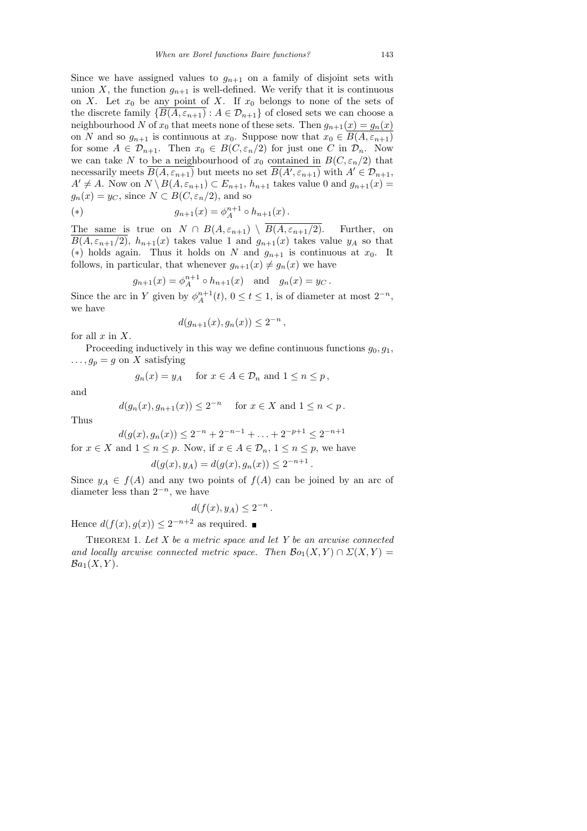Since we have assigned values to  $g_{n+1}$  on a family of disjoint sets with union X, the function  $g_{n+1}$  is well-defined. We verify that it is continuous on X. Let  $x_0$  be any point of X. If  $x_0$  belongs to none of the sets of the discrete family  $\{B(A, \varepsilon_{n+1}) : A \in \mathcal{D}_{n+1}\}$  of closed sets we can choose a neighbourhood N of  $x_0$  that meets none of these sets. Then  $g_{n+1}(x) = g_n(x)$ on N and so  $g_{n+1}$  is continuous at  $x_0$ . Suppose now that  $x_0 \in \overline{B(A, \varepsilon_{n+1})}$ for some  $A \in \mathcal{D}_{n+1}$ . Then  $x_0 \in B(C, \varepsilon_n/2)$  for just one C in  $\mathcal{D}_n$ . Now we can take N to be a neighbourhood of  $x_0$  contained in  $B(C, \varepsilon_n/2)$  that necessarily meets  $\overline{B(A, \varepsilon_{n+1})}$  but meets no set  $\overline{B(A', \varepsilon_{n+1})}$  with  $A' \in \mathcal{D}_{n+1}$ ,  $A' \neq A$ . Now on  $N \setminus B(A, \varepsilon_{n+1}) \subset E_{n+1}, h_{n+1}$  takes value 0 and  $g_{n+1}(x) =$  $g_n(x) = y_C$ , since  $N \subset B(C, \varepsilon_n/2)$ , and so

(\*) 
$$
g_{n+1}(x) = \phi_A^{n+1} \circ h_{n+1}(x).
$$

The same is true on  $N \cap B(A, \varepsilon_{n+1}) \setminus \overline{B(A, \varepsilon_{n+1}/2)}$ . Further, on  $B(A, \varepsilon_{n+1}/2)$ ,  $h_{n+1}(x)$  takes value 1 and  $g_{n+1}(x)$  takes value  $y_A$  so that (\*) holds again. Thus it holds on N and  $g_{n+1}$  is continuous at  $x_0$ . It follows, in particular, that whenever  $g_{n+1}(x) \neq g_n(x)$  we have

$$
g_{n+1}(x) = \phi_A^{n+1} \circ h_{n+1}(x)
$$
 and  $g_n(x) = y_C$ .

Since the arc in Y given by  $\phi_A^{n+1}(t)$ ,  $0 \le t \le 1$ , is of diameter at most  $2^{-n}$ , we have

$$
d(g_{n+1}(x), g_n(x)) \le 2^{-n},
$$

for all  $x$  in  $X$ .

Proceeding inductively in this way we define continuous functions  $q_0, q_1$ ,  $\ldots$ ,  $g_p = g$  on X satisfying

$$
g_n(x) = y_A
$$
 for  $x \in A \in \mathcal{D}_n$  and  $1 \le n \le p$ ,

and

$$
d(g_n(x), g_{n+1}(x)) \le 2^{-n}
$$
 for  $x \in X$  and  $1 \le n < p$ .

Thus

$$
d(g(x), g_n(x)) \le 2^{-n} + 2^{-n-1} + \ldots + 2^{-p+1} \le 2^{-n+1}
$$

for  $x \in X$  and  $1 \leq n \leq p$ . Now, if  $x \in A \in \mathcal{D}_n$ ,  $1 \leq n \leq p$ , we have

$$
d(g(x), y_A) = d(g(x), g_n(x)) \le 2^{-n+1}.
$$

Since  $y_A \in f(A)$  and any two points of  $f(A)$  can be joined by an arc of diameter less than  $2^{-n}$ , we have

$$
d(f(x), y_A) \leq 2^{-n}.
$$

Hence  $d(f(x), g(x)) \leq 2^{-n+2}$  as required.

THEOREM 1. Let  $X$  be a metric space and let  $Y$  be an arcwise connected and locally arcwise connected metric space. Then  $\mathcal{B}o_1(X,Y) \cap \Sigma(X,Y) =$  $Ba_1(X, Y)$ .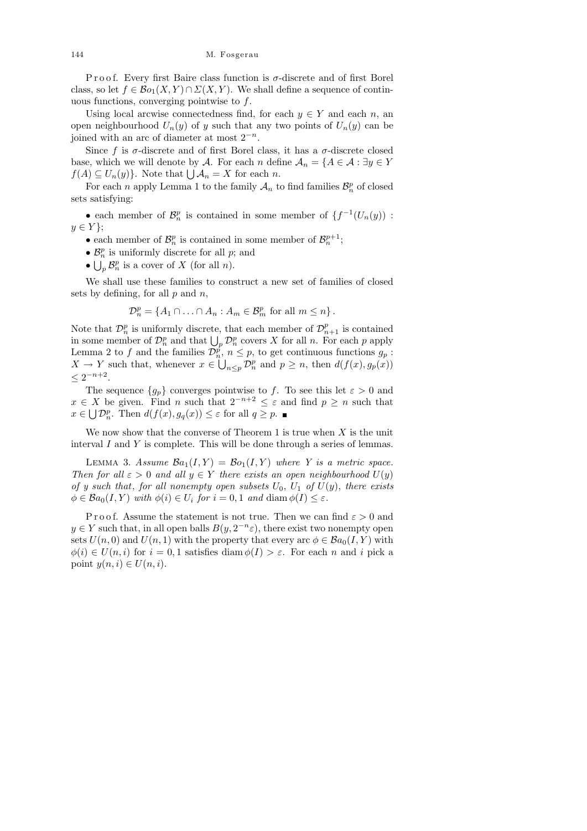P r o o f. Every first Baire class function is  $\sigma$ -discrete and of first Borel class, so let  $f \in \mathcal{B}o_1(X, Y) \cap \Sigma(X, Y)$ . We shall define a sequence of continuous functions, converging pointwise to  $f$ .

Using local arcwise connectedness find, for each  $y \in Y$  and each n, an open neighbourhood  $U_n(y)$  of y such that any two points of  $U_n(y)$  can be joined with an arc of diameter at most  $2^{-n}$ .

Since f is  $\sigma$ -discrete and of first Borel class, it has a  $\sigma$ -discrete closed base, which we will denote by A. For each n define  $A_n = \{A \in \mathcal{A} : \exists y \in Y\}$  $f(A) \subseteq U_n(y)$ . Note that  $\bigcup \mathcal{A}_n = X$  for each n.

For each n apply Lemma 1 to the family  $\mathcal{A}_n$  to find families  $\mathcal{B}_n^p$  of closed sets satisfying:

• each member of  $\mathcal{B}_n^p$  is contained in some member of  $\{f^{-1}(U_n(y))\}$ :  $y \in Y$ ;

• each member of  $\mathcal{B}_n^p$  is contained in some member of  $\mathcal{B}_n^{p+1}$ ;

•  $\mathcal{B}_n^p$  is uniformly discrete for all  $p$ ; and

•  $\bigcup_{p} \mathcal{B}_{n}^{p}$  is a cover of X (for all n).

We shall use these families to construct a new set of families of closed sets by defining, for all  $p$  and  $n$ ,

$$
\mathcal{D}_n^p = \{ A_1 \cap \ldots \cap A_n : A_m \in \mathcal{B}_m^p \text{ for all } m \leq n \}.
$$

Note that  $\mathcal{D}_n^p$  is uniformly discrete, that each member of  $\mathcal{D}_{n+1}^p$  is contained in some member of  $\mathcal{D}_n^p$  and that  $\bigcup_p \mathcal{D}_n^p$  covers X for all n. For each p apply Lemma 2 to f and the families  $\mathcal{D}_n^{\tilde{p}}$ ,  $n \leq p$ , to get continuous functions  $g_p$ :  $X \to Y$  such that, whenever  $x \in \bigcup_{n \leq p} \mathcal{D}_n^p$  and  $p \geq n$ , then  $d(f(x), g_p(x))$  $\leq 2^{-n+2}$ .

The sequence  $\{g_p\}$  converges pointwise to f. To see this let  $\varepsilon > 0$  and  $x \in X$  be given. Find n such that  $2^{-n+2} \leq \varepsilon$  and find  $p \geq n$  such that  $x \in \bigcup \mathcal{D}_n^p$ . Then  $d(f(x), g_q(x)) \leq \varepsilon$  for all  $q \geq p$ .

We now show that the converse of Theorem 1 is true when  $X$  is the unit interval  $I$  and  $Y$  is complete. This will be done through a series of lemmas.

LEMMA 3. Assume  $\mathcal{B}a_1(I, Y) = \mathcal{B}o_1(I, Y)$  where Y is a metric space. Then for all  $\varepsilon > 0$  and all  $y \in Y$  there exists an open neighbourhood  $U(y)$ of y such that, for all nonempty open subsets  $U_0$ ,  $U_1$  of  $U(y)$ , there exists  $\phi \in \mathcal{B}a_0(I, Y)$  with  $\phi(i) \in U_i$  for  $i = 0, 1$  and  $\text{diam }\phi(I) \leq \varepsilon$ .

P r o o f. Assume the statement is not true. Then we can find  $\varepsilon > 0$  and  $y \in Y$  such that, in all open balls  $B(y, 2^{-n} \varepsilon)$ , there exist two nonempty open sets  $U(n, 0)$  and  $U(n, 1)$  with the property that every arc  $\phi \in \mathcal{B}a_0(I, Y)$  with  $\phi(i) \in U(n, i)$  for  $i = 0, 1$  satisfies diam  $\phi(I) > \varepsilon$ . For each n and i pick a point  $y(n, i) \in U(n, i)$ .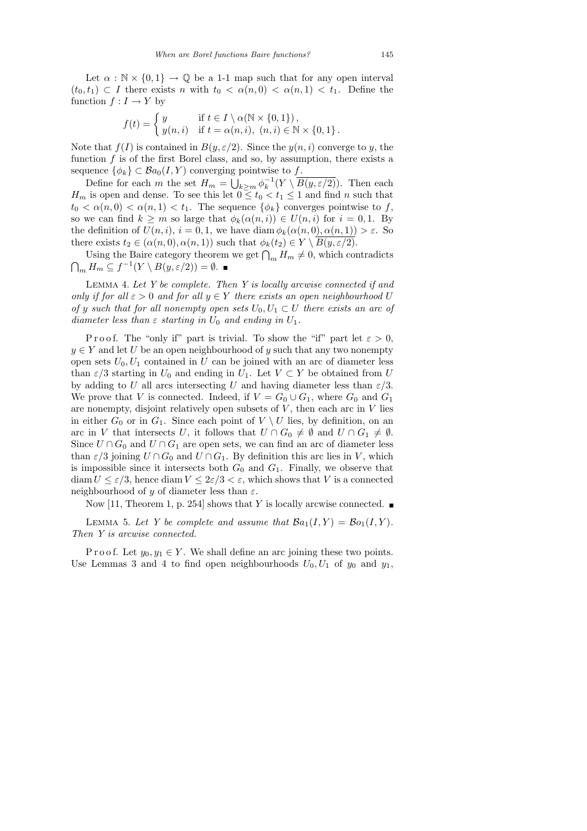Let  $\alpha : \mathbb{N} \times \{0,1\} \to \mathbb{Q}$  be a 1-1 map such that for any open interval  $(t_0, t_1) \subset I$  there exists n with  $t_0 < \alpha(n, 0) < \alpha(n, 1) < t_1$ . Define the function  $f: I \to Y$  by

$$
f(t) = \begin{cases} y & \text{if } t \in I \setminus \alpha(\mathbb{N} \times \{0, 1\}), \\ y(n, i) & \text{if } t = \alpha(n, i), (n, i) \in \mathbb{N} \times \{0, 1\}. \end{cases}
$$

Note that  $f(I)$  is contained in  $B(y, \varepsilon/2)$ . Since the  $y(n, i)$  converge to y, the function  $f$  is of the first Borel class, and so, by assumption, there exists a sequence  $\{\phi_k\} \subset \mathcal{B}a_0(I, Y)$  converging pointwise to f.

Define for each m the set  $H_m = \bigcup_{k \ge m} \phi_k^{-1}(Y \setminus \overline{B(y, \varepsilon/2)})$ . Then each  $H_m$  is open and dense. To see this let  $0 \le t_0 < t_1 \le 1$  and find n such that  $t_0 < \alpha(n,0) < \alpha(n,1) < t_1$ . The sequence  $\{\phi_k\}$  converges pointwise to f, so we can find  $k \geq m$  so large that  $\phi_k(\alpha(n,i)) \in U(n,i)$  for  $i = 0,1$ . By the definition of  $U(n, i)$ ,  $i = 0, 1$ , we have diam  $\phi_k(\alpha(n, 0), \alpha(n, 1)) > \varepsilon$ . So there exists  $t_2 \in (\alpha(n, 0), \alpha(n, 1))$  such that  $\phi_k(t_2) \in Y \setminus \overline{B(y, \varepsilon/2)}$ .

Using the Baire category theorem we get  $\bigcap_m H_m \neq 0$ , which contradicts  $\bigcap_m H_m \subseteq f^{-1}(Y \setminus B(y,\varepsilon/2)) = \emptyset.$ 

LEMMA 4. Let Y be complete. Then Y is locally arcwise connected if and only if for all  $\varepsilon > 0$  and for all  $y \in Y$  there exists an open neighbourhood U of y such that for all nonempty open sets  $U_0, U_1 \subset U$  there exists an arc of diameter less than  $\varepsilon$  starting in  $U_0$  and ending in  $U_1$ .

P r o o f. The "only if" part is trivial. To show the "if" part let  $\varepsilon > 0$ ,  $y \in Y$  and let U be an open neighbourhood of y such that any two nonempty open sets  $U_0, U_1$  contained in U can be joined with an arc of diameter less than  $\varepsilon/3$  starting in  $U_0$  and ending in  $U_1$ . Let  $V \subset Y$  be obtained from U by adding to U all arcs intersecting U and having diameter less than  $\varepsilon/3$ . We prove that V is connected. Indeed, if  $V = G_0 \cup G_1$ , where  $G_0$  and  $G_1$ are nonempty, disjoint relatively open subsets of  $V$ , then each arc in  $V$  lies in either  $G_0$  or in  $G_1$ . Since each point of  $V \setminus U$  lies, by definition, on an arc in V that intersects U, it follows that  $U \cap G_0 \neq \emptyset$  and  $U \cap G_1 \neq \emptyset$ . Since  $U \cap G_0$  and  $U \cap G_1$  are open sets, we can find an arc of diameter less than  $\varepsilon/3$  joining  $U \cap G_0$  and  $U \cap G_1$ . By definition this arc lies in V, which is impossible since it intersects both  $G_0$  and  $G_1$ . Finally, we observe that diam  $U \leq \varepsilon/3$ , hence diam  $V \leq 2\varepsilon/3 < \varepsilon$ , which shows that V is a connected neighbourhood of y of diameter less than  $\varepsilon$ .

Now [11, Theorem 1, p. 254] shows that Y is locally arcwise connected.  $\blacksquare$ 

LEMMA 5. Let Y be complete and assume that  $\mathcal{B}a_1(I, Y) = \mathcal{B}o_1(I, Y)$ . Then Y is arcwise connected.

P r o o f. Let  $y_0, y_1 \in Y$ . We shall define an arc joining these two points. Use Lemmas 3 and 4 to find open neighbourhoods  $U_0, U_1$  of  $y_0$  and  $y_1$ ,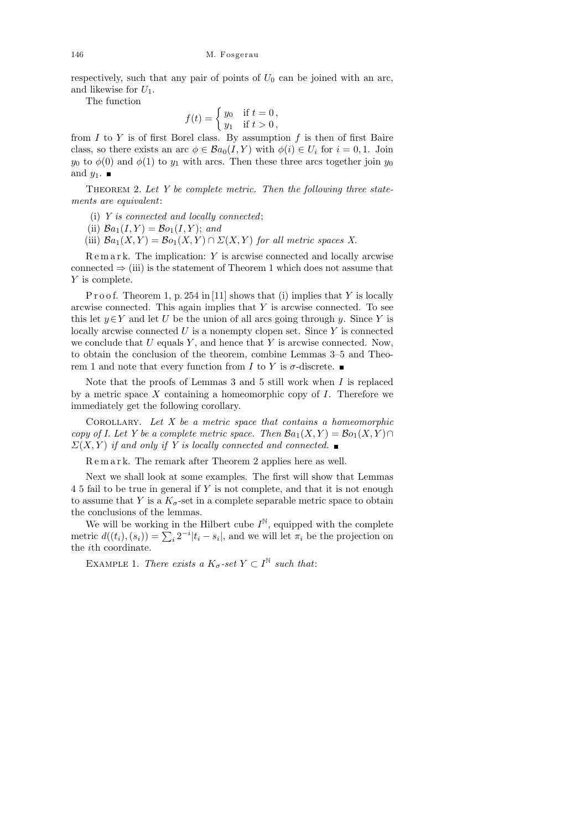respectively, such that any pair of points of  $U_0$  can be joined with an arc, and likewise for  $U_1$ .

The function

$$
f(t) = \begin{cases} y_0 & \text{if } t = 0, \\ y_1 & \text{if } t > 0, \end{cases}
$$

from  $I$  to  $Y$  is of first Borel class. By assumption  $f$  is then of first Baire class, so there exists an arc  $\phi \in Ba_0(I, Y)$  with  $\phi(i) \in U_i$  for  $i = 0, 1$ . Join  $y_0$  to  $\phi(0)$  and  $\phi(1)$  to  $y_1$  with arcs. Then these three arcs together join  $y_0$ and  $y_1$ .

THEOREM 2. Let Y be complete metric. Then the following three statements are equivalent:

- (i) Y is connected and locally connected;
- (ii)  $Ba_1(I, Y) = Bo_1(I, Y)$ ; and
- (iii)  $Ba_1(X, Y) = Bo_1(X, Y) \cap \Sigma(X, Y)$  for all metric spaces X.

 $R$ e m a r k. The implication: Y is arcwise connected and locally arcwise connected  $\Rightarrow$  (iii) is the statement of Theorem 1 which does not assume that Y is complete.

P r o o f. Theorem 1, p. 254 in [11] shows that (i) implies that Y is locally arcwise connected. This again implies that  $Y$  is arcwise connected. To see this let  $y \in Y$  and let U be the union of all arcs going through y. Since Y is locally arcwise connected  $U$  is a nonempty clopen set. Since  $Y$  is connected we conclude that  $U$  equals  $Y$ , and hence that  $Y$  is arcwise connected. Now, to obtain the conclusion of the theorem, combine Lemmas 3–5 and Theorem 1 and note that every function from I to Y is  $\sigma$ -discrete.

Note that the proofs of Lemmas  $3$  and  $5$  still work when  $I$  is replaced by a metric space  $X$  containing a homeomorphic copy of  $I$ . Therefore we immediately get the following corollary.

COROLLARY. Let  $X$  be a metric space that contains a homeomorphic copy of I. Let Y be a complete metric space. Then  $\mathcal{B}a_1(X,Y) = \mathcal{B}o_1(X,Y) \cap$  $\Sigma(X, Y)$  if and only if Y is locally connected and connected.

R e m a r k. The remark after Theorem 2 applies here as well.

Next we shall look at some examples. The first will show that Lemmas 4 5 fail to be true in general if Y is not complete, and that it is not enough to assume that Y is a  $K_{\sigma}$ -set in a complete separable metric space to obtain the conclusions of the lemmas.

We will be working in the Hilbert cube  $I^{\mathbb{N}}$ , equipped with the complete metric  $d((t_i), (s_i)) = \sum_i 2^{-i} |t_i - s_i|$ , and we will let  $\pi_i$  be the projection on the ith coordinate.

EXAMPLE 1. There exists a  $K_{\sigma}$ -set  $Y \subset I^{\mathbb{N}}$  such that: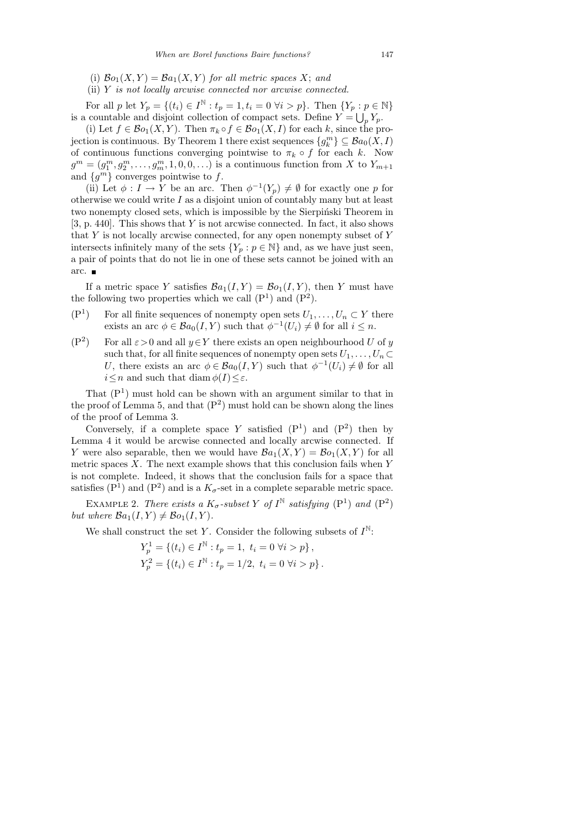- (i)  $\mathcal{B}o_1(X, Y) = \mathcal{B}a_1(X, Y)$  for all metric spaces X; and
- (ii)  $Y$  is not locally arcwise connected nor arcwise connected.

For all p let  $Y_p = \{(t_i) \in I^{\mathbb{N}} : t_p = 1, t_i = 0 \; \forall i > p\}$ . Then  $\{Y_p : p \in \mathbb{N}\}\$ is a countable and disjoint collection of compact sets. Define  $Y = \bigcup_p Y_p$ .

(i) Let  $f \in \mathcal{B}o_1(X, Y)$ . Then  $\pi_k \circ f \in \mathcal{B}o_1(X, I)$  for each k, since the projection is continuous. By Theorem 1 there exist sequences  ${g_k^m} \subseteq \mathcal{B}a_0(X, I)$ of continuous functions converging pointwise to  $\pi_k \circ f$  for each k. Now  $g^m = (g_1^m, g_2^m, \ldots, g_m^m, 1, 0, 0, \ldots)$  is a continuous function from X to  $Y_{m+1}$ and  $\{g^m\}$  converges pointwise to f.

(ii) Let  $\phi: I \to Y$  be an arc. Then  $\phi^{-1}(Y_p) \neq \emptyset$  for exactly one p for otherwise we could write  $I$  as a disjoint union of countably many but at least two nonempty closed sets, which is impossible by the Sierpinski Theorem in [3, p. 440]. This shows that  $Y$  is not arcwise connected. In fact, it also shows that  $Y$  is not locally arcwise connected, for any open nonempty subset of  $Y$ intersects infinitely many of the sets  $\{Y_p : p \in \mathbb{N}\}\$  and, as we have just seen, a pair of points that do not lie in one of these sets cannot be joined with an arc.

If a metric space Y satisfies  $\mathcal{B}a_1(I, Y) = \mathcal{B}o_1(I, Y)$ , then Y must have the following two properties which we call  $(P<sup>1</sup>)$  and  $(P<sup>2</sup>)$ .

- $(P<sup>1</sup>)$ For all finite sequences of nonempty open sets  $U_1, \ldots, U_n \subset Y$  there exists an arc  $\phi \in \mathcal{B}a_0(I, Y)$  such that  $\phi^{-1}(U_i) \neq \emptyset$  for all  $i \leq n$ .
- $(P<sup>2</sup>)$ For all  $\varepsilon > 0$  and all  $y \in Y$  there exists an open neighbourhood U of y such that, for all finite sequences of nonempty open sets  $U_1, \ldots, U_n \subset$ U, there exists an arc  $\phi \in Ba_0(I, Y)$  such that  $\phi^{-1}(U_i) \neq \emptyset$  for all  $i \leq n$  and such that diam  $\phi(I) \leq \varepsilon$ .

That  $(P<sup>1</sup>)$  must hold can be shown with an argument similar to that in the proof of Lemma 5, and that  $(P^2)$  must hold can be shown along the lines of the proof of Lemma 3.

Conversely, if a complete space Y satisfied  $(P<sup>1</sup>)$  and  $(P<sup>2</sup>)$  then by Lemma 4 it would be arcwise connected and locally arcwise connected. If Y were also separable, then we would have  $\mathcal{B}a_1(X,Y) = \mathcal{B}o_1(X,Y)$  for all metric spaces  $X$ . The next example shows that this conclusion fails when Y is not complete. Indeed, it shows that the conclusion fails for a space that satisfies ( $P<sup>1</sup>$ ) and ( $P<sup>2</sup>$ ) and is a  $K_{\sigma}$ -set in a complete separable metric space.

EXAMPLE 2. There exists a  $K_{\sigma}$ -subset Y of  $I^{\mathbb{N}}$  satisfying  $(P^1)$  and  $(P^2)$ but where  $\mathcal{B}a_1(I, Y) \neq \mathcal{B}o_1(I, Y)$ .

We shall construct the set Y. Consider the following subsets of  $I^{\mathbb{N}}$ :

$$
Y_p^1 = \{(t_i) \in I^{\mathbb{N}} : t_p = 1, t_i = 0 \; \forall i > p\},\
$$
  

$$
Y_p^2 = \{(t_i) \in I^{\mathbb{N}} : t_p = 1/2, t_i = 0 \; \forall i > p\}.
$$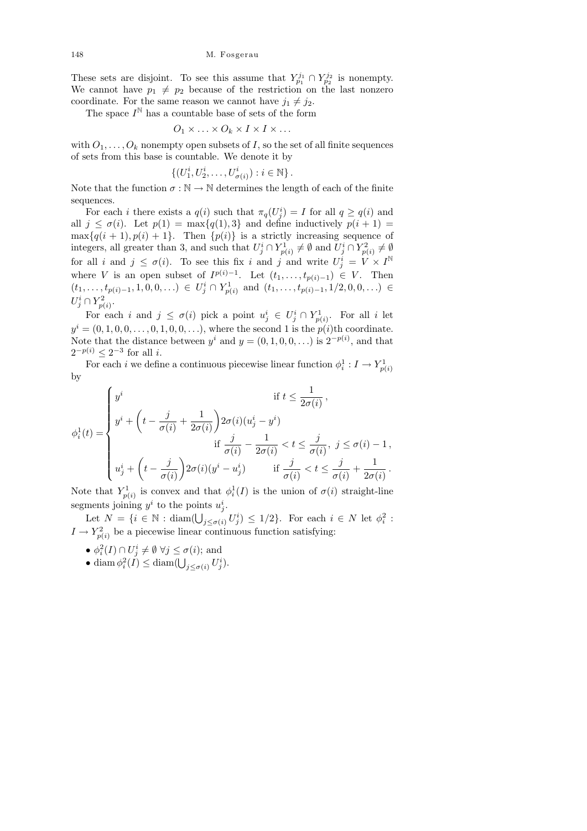These sets are disjoint. To see this assume that  $Y_{p_1}^{j_1} \cap Y_{p_2}^{j_2}$  is nonempty. We cannot have  $p_1 \neq p_2$  because of the restriction on the last nonzero coordinate. For the same reason we cannot have  $j_1 \neq j_2$ .

The space  $I^{\mathbb{N}}$  has a countable base of sets of the form

$$
O_1 \times \ldots \times O_k \times I \times I \times \ldots
$$

with  $O_1, \ldots, O_k$  nonempty open subsets of I, so the set of all finite sequences of sets from this base is countable. We denote it by

$$
\{(U_1^i, U_2^i, \ldots, U_{\sigma(i)}^i) : i \in \mathbb{N}\}.
$$

Note that the function  $\sigma : \mathbb{N} \to \mathbb{N}$  determines the length of each of the finite sequences.

For each *i* there exists a  $q(i)$  such that  $\pi_q(U_j^i) = I$  for all  $q \geq q(i)$  and all  $j \leq \sigma(i)$ . Let  $p(1) = \max\{q(1), 3\}$  and define inductively  $p(i + 1) =$  $\max\{q(i + 1), p(i) + 1\}.$  Then  $\{p(i)\}\$ is a strictly increasing sequence of integers, all greater than 3, and such that  $U_j^i \cap Y_{p(i)}^1 \neq \emptyset$  and  $U_j^i \cap Y_{p(i)}^2 \neq \emptyset$ for all i and  $j \leq \sigma(i)$ . To see this fix i and j and write  $U_j^i = V \times I^{\mathbb{N}}$ where V is an open subset of  $I^{p(i)-1}$ . Let  $(t_1,\ldots,t_{p(i)-1}) \in V$ . Then  $(t_1, \ldots, t_{p(i)-1}, 1, 0, 0, \ldots) \in U^i_j \cap Y^1_{p(i)}$  and  $(t_1, \ldots, t_{p(i)-1}, 1/2, 0, 0, \ldots) \in$  $U_j^i \cap Y_{p(i)}^2$ .

For each i and  $j \leq \sigma(i)$  pick a point  $u_j^i \in U_j^i \cap Y_{p(i)}^1$ . For all i let  $y^{i} = (0, 1, 0, 0, \ldots, 0, 1, 0, 0, \ldots)$ , where the second 1 is the  $p(i)$ th coordinate. Note that the distance between  $y^i$  and  $y = (0, 1, 0, 0, ...)$  is  $2^{-p(i)}$ , and that  $2^{-p(i)} \leq 2^{-3}$  for all *i*.

For each i we define a continuous piecewise linear function  $\phi_i^1: I \to Y_{p(i)}^1$ by

$$
\phi_i^1(t) = \begin{cases}\ny^i & \text{if } t \leq \frac{1}{2\sigma(i)}, \\
y^i + \left(t - \frac{j}{\sigma(i)} + \frac{1}{2\sigma(i)}\right)2\sigma(i)(u_j^i - y^i) & \text{if } \frac{j}{\sigma(i)} - \frac{1}{2\sigma(i)} < t \leq \frac{j}{\sigma(i)}, \ j \leq \sigma(i) - 1, \\
u_j^i + \left(t - \frac{j}{\sigma(i)}\right)2\sigma(i)(y^i - u_j^i) & \text{if } \frac{j}{\sigma(i)} < t \leq \frac{j}{\sigma(i)} + \frac{1}{2\sigma(i)}.\n\end{cases}
$$

Note that  $Y_{p(i)}^1$  is convex and that  $\phi_i^1(I)$  is the union of  $\sigma(i)$  straight-line segments joining  $y^i$  to the points  $u_j^i$ .

Let  $N = \{i \in \mathbb{N} : \text{diam}(\bigcup_{j \leq \sigma(i)} U_j^i) \leq 1/2\}$ . For each  $i \in N$  let  $\phi_i^2$ :  $I \to Y_{p(i)}^2$  be a piecewise linear continuous function satisfying:

- $\phi_i^2(I) \cap U_j^i \neq \emptyset \,\,\forall j \leq \sigma(i);$  and
- diam  $\phi_i^2(I) \leq \text{diam}(\bigcup_{j \leq \sigma(i)} U_j^i).$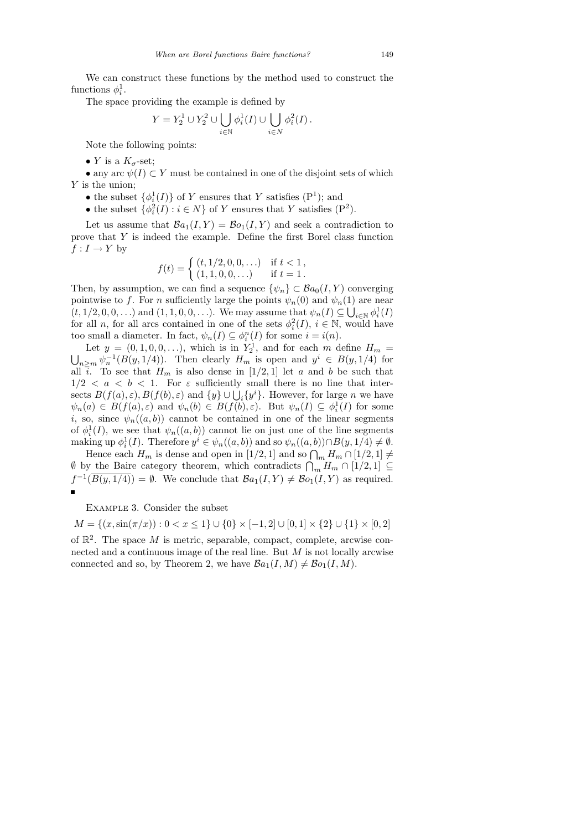We can construct these functions by the method used to construct the functions  $\phi_i^1$ .

The space providing the example is defined by

$$
Y = Y_2^1 \cup Y_2^2 \cup \bigcup_{i \in \mathbb{N}} \phi_i^1(I) \cup \bigcup_{i \in N} \phi_i^2(I).
$$

Note the following points:

• Y is a  $K_{\sigma}$ -set;

• any arc  $\psi(I) \subset Y$  must be contained in one of the disjoint sets of which Y is the union;

- the subset  $\{\phi_i^1(I)\}\$  of Y ensures that Y satisfies  $(P^1)$ ; and
- the subset  $\{\phi_i^2(I) : i \in N\}$  of Y ensures that Y satisfies (P<sup>2</sup>).

Let us assume that  $\mathcal{B}a_1(I, Y) = \mathcal{B}o_1(I, Y)$  and seek a contradiction to prove that Y is indeed the example. Define the first Borel class function  $f: I \to Y$  by

$$
f(t) = \begin{cases} (t, 1/2, 0, 0, \ldots) & \text{if } t < 1, \\ (1, 1, 0, 0, \ldots) & \text{if } t = 1. \end{cases}
$$

Then, by assumption, we can find a sequence  $\{\psi_n\} \subset \mathcal{B}a_0(I, Y)$  converging pointwise to f. For n sufficiently large the points  $\psi_n(0)$  and  $\psi_n(1)$  are near  $(t, 1/2, 0, 0, \ldots)$  and  $(1, 1, 0, 0, \ldots)$ . We may assume that  $\psi_n(I) \subseteq \bigcup_{i \in \mathbb{N}} \phi_i^1(I)$ for all n, for all arcs contained in one of the sets  $\phi_i^2(I)$ ,  $i \in \mathbb{N}$ , would have too small a diameter. In fact,  $\psi_n(I) \subseteq \phi_i^n(I)$  for some  $i = i(n)$ .

Let  $y = (0, 1, 0, 0, \ldots)$ , which is in  $Y_2^1$ , and for each m define  $H_m =$  $\bigcup_{n\geq m} \psi_n^{-1}(B(y,1/4))$ . Then clearly  $H_m$  is open and  $y^i \in B(y,1/4)$  for all  $\overline{i}$ . To see that  $H_m$  is also dense in [1/2, 1] let a and b be such that  $1/2 < a < b < 1$ . For  $\varepsilon$  sufficiently small there is no line that intersects  $B(f(a), \varepsilon), B(f(b), \varepsilon)$  and  $\{y\} \cup \bigcup_i \{y^i\}$ . However, for large *n* we have  $\psi_n(a) \in B(f(a), \varepsilon)$  and  $\psi_n(b) \in B(f(b), \varepsilon)$ . But  $\psi_n(I) \subseteq \phi_i^1(I)$  for some i, so, since  $\psi_n((a, b))$  cannot be contained in one of the linear segments of  $\phi_i^1(I)$ , we see that  $\psi_n((a, b))$  cannot lie on just one of the line segments making up  $\phi_i^1(I)$ . Therefore  $y^i \in \psi_n((a, b))$  and so  $\psi_n((a, b)) \cap B(y, 1/4) \neq \emptyset$ .

Hence each  $H_m$  is dense and open in [1/2, 1] and so  $\bigcap_m H_m \cap [1/2, 1] \neq$  $\emptyset$  by the Baire category theorem, which contradicts  $\bigcap_m H_m \cap [1/2,1] \subseteq$  $f^{-1}(\overline{B(y,1/4)}) = \emptyset$ . We conclude that  $\mathcal{B}a_1(I,Y) \neq \mathcal{B}o_1(I,Y)$  as required.  $\blacksquare$ 

Example 3. Consider the subset

 $M = \{(x, \sin(\pi/x)) : 0 < x \le 1\} \cup \{0\} \times [-1, 2] \cup [0, 1] \times \{2\} \cup \{1\} \times [0, 2]$ 

of  $\mathbb{R}^2$ . The space M is metric, separable, compact, complete, arcwise connected and a continuous image of the real line. But  $M$  is not locally arcwise connected and so, by Theorem 2, we have  $\mathcal{B}a_1(I, M) \neq \mathcal{B}o_1(I, M)$ .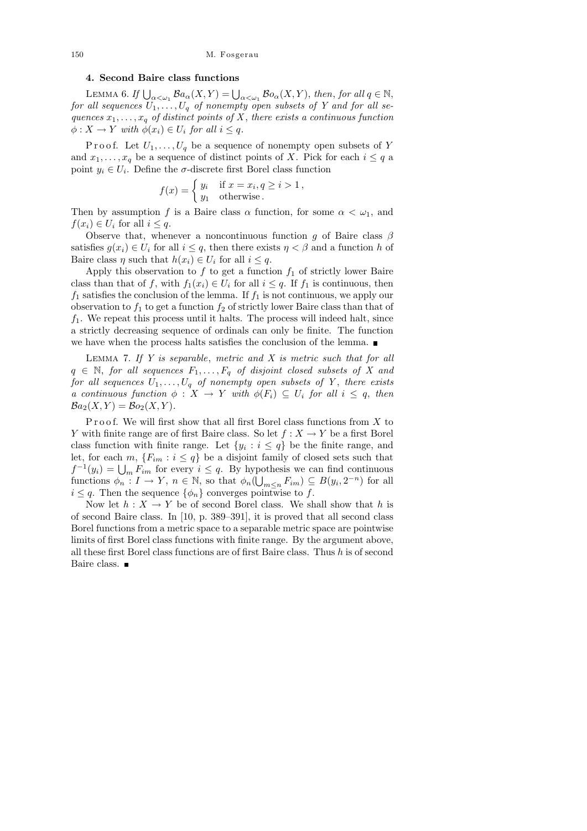## 4. Second Baire class functions

LEMMA 6. If  $\bigcup_{\alpha<\omega_1} \mathcal{B}a_{\alpha}(X,Y) = \bigcup_{\alpha<\omega_1} \mathcal{B}o_{\alpha}(X,Y)$ , then, for all  $q \in \mathbb{N}$ , for all sequences  $U_1, \ldots, U_q$  of nonempty open subsets of Y and for all sequences  $x_1, \ldots, x_q$  of distinct points of X, there exists a continuous function  $\phi: X \to Y$  with  $\phi(x_i) \in U_i$  for all  $i \leq q$ .

Proof. Let  $U_1, \ldots, U_q$  be a sequence of nonempty open subsets of Y and  $x_1, \ldots, x_q$  be a sequence of distinct points of X. Pick for each  $i \leq q$  a point  $y_i \in U_i$ . Define the  $\sigma$ -discrete first Borel class function

$$
f(x) = \begin{cases} y_i & \text{if } x = x_i, q \ge i > 1, \\ y_1 & \text{otherwise.} \end{cases}
$$

Then by assumption f is a Baire class  $\alpha$  function, for some  $\alpha < \omega_1$ , and  $f(x_i) \in U_i$  for all  $i \leq q$ .

Observe that, whenever a noncontinuous function g of Baire class  $\beta$ satisfies  $g(x_i) \in U_i$  for all  $i \leq q$ , then there exists  $\eta < \beta$  and a function h of Baire class  $\eta$  such that  $h(x_i) \in U_i$  for all  $i \leq q$ .

Apply this observation to f to get a function  $f_1$  of strictly lower Baire class than that of f, with  $f_1(x_i) \in U_i$  for all  $i \leq q$ . If  $f_1$  is continuous, then  $f_1$  satisfies the conclusion of the lemma. If  $f_1$  is not continuous, we apply our observation to  $f_1$  to get a function  $f_2$  of strictly lower Baire class than that of  $f_1$ . We repeat this process until it halts. The process will indeed halt, since a strictly decreasing sequence of ordinals can only be finite. The function we have when the process halts satisfies the conclusion of the lemma.

LEMMA 7. If  $Y$  is separable, metric and  $X$  is metric such that for all  $q \in \mathbb{N}$ , for all sequences  $F_1, \ldots, F_q$  of disjoint closed subsets of X and for all sequences  $U_1, \ldots, U_q$  of nonempty open subsets of Y, there exists a continuous function  $\phi: X \to Y$  with  $\phi(F_i) \subseteq U_i$  for all  $i \leq q$ , then  $Ba_2(X, Y) = Bo_2(X, Y)$ .

Proof. We will first show that all first Borel class functions from  $X$  to Y with finite range are of first Baire class. So let  $f : X \to Y$  be a first Borel class function with finite range. Let  $\{y_i : i \leq q\}$  be the finite range, and let, for each  $m, \{F_{im} : i \leq q\}$  be a disjoint family of closed sets such that  $f^{-1}(y_i) = \bigcup_m F_{im}$  for every  $i \leq q$ . By hypothesis we can find continuous functions  $\phi_n: I \to Y, n \in \mathbb{N}$ , so that  $\phi_n(\overline{\bigcup_{m \leq n} F_{im}}) \subseteq B(y_i, 2^{-n})$  for all  $i \leq q$ . Then the sequence  $\{\phi_n\}$  converges pointwise to f.

Now let  $h: X \to Y$  be of second Borel class. We shall show that h is of second Baire class. In [10, p. 389–391], it is proved that all second class Borel functions from a metric space to a separable metric space are pointwise limits of first Borel class functions with finite range. By the argument above, all these first Borel class functions are of first Baire class. Thus  $h$  is of second Baire class.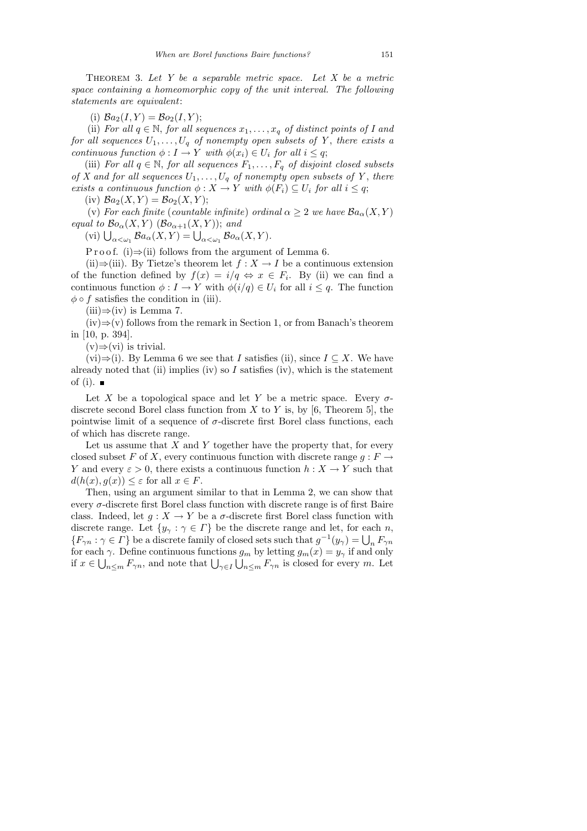THEOREM 3. Let  $Y$  be a separable metric space. Let  $X$  be a metric space containing a homeomorphic copy of the unit interval. The following statements are equivalent:

(i)  $Ba_2(I, Y) = Bo_2(I, Y);$ 

(ii) For all  $q \in \mathbb{N}$ , for all sequences  $x_1, \ldots, x_q$  of distinct points of I and for all sequences  $U_1, \ldots, U_q$  of nonempty open subsets of Y, there exists a continuous function  $\phi: I \to Y$  with  $\phi(x_i) \in U_i$  for all  $i \leq q$ ;

(iii) For all  $q \in \mathbb{N}$ , for all sequences  $F_1, \ldots, F_q$  of disjoint closed subsets of X and for all sequences  $U_1, \ldots, U_q$  of nonempty open subsets of Y, there exists a continuous function  $\phi: X \to Y$  with  $\phi(F_i) \subseteq U_i$  for all  $i \leq q$ ;

(iv)  $Ba_2(X, Y) = Bo_2(X, Y);$ 

(v) For each finite (countable infinite) ordinal  $\alpha > 2$  we have  $\mathcal{B}a_{\alpha}(X, Y)$ equal to  $\mathcal{B}o_{\alpha}(X, Y)$  ( $\mathcal{B}o_{\alpha+1}(X, Y)$ ); and

(vi)  $\bigcup_{\alpha<\omega_1} \mathcal{B}a_{\alpha}(X,Y) = \bigcup_{\alpha<\omega_1} \mathcal{B}o_{\alpha}(X,Y).$ 

P r o o f. (i)  $\Rightarrow$  (ii) follows from the argument of Lemma 6.

(ii)⇒(iii). By Tietze's theorem let  $f : X \to I$  be a continuous extension of the function defined by  $f(x) = i/q \Leftrightarrow x \in F_i$ . By (ii) we can find a continuous function  $\phi: I \to Y$  with  $\phi(i/q) \in U_i$  for all  $i \leq q$ . The function  $\phi \circ f$  satisfies the condition in (iii).

 $(iii) \Rightarrow (iv)$  is Lemma 7.

 $(iv) \Rightarrow (v)$  follows from the remark in Section 1, or from Banach's theorem in [10, p. 394].

 $(v) \Rightarrow (vi)$  is trivial.

(vi)⇒(i). By Lemma 6 we see that I satisfies (ii), since  $I \subseteq X$ . We have already noted that (ii) implies (iv) so  $I$  satisfies (iv), which is the statement of (i).  $\blacksquare$ 

Let X be a topological space and let Y be a metric space. Every  $\sigma$ discrete second Borel class function from X to Y is, by [6, Theorem 5], the pointwise limit of a sequence of  $\sigma$ -discrete first Borel class functions, each of which has discrete range.

Let us assume that  $X$  and  $Y$  together have the property that, for every closed subset F of X, every continuous function with discrete range  $q : F \to$ Y and every  $\varepsilon > 0$ , there exists a continuous function  $h: X \to Y$  such that  $d(h(x), g(x)) \leq \varepsilon$  for all  $x \in F$ .

Then, using an argument similar to that in Lemma 2, we can show that every  $\sigma$ -discrete first Borel class function with discrete range is of first Baire class. Indeed, let  $g: X \to Y$  be a  $\sigma$ -discrete first Borel class function with discrete range. Let  $\{y_{\gamma} : \gamma \in \Gamma\}$  be the discrete range and let, for each n,  ${F_{\gamma n} : \gamma \in \Gamma}$  be a discrete family of closed sets such that  $g^{-1}(y_\gamma) = \bigcup_n F_{\gamma n}$ for each  $\gamma$ . Define continuous functions  $g_m$  by letting  $g_m(x) = y_\gamma$  if and only if  $x \in \bigcup_{n \leq m} F_{\gamma n}$ , and note that  $\bigcup_{\gamma \in I} \bigcup_{n \leq m} F_{\gamma n}$  is closed for every m. Let